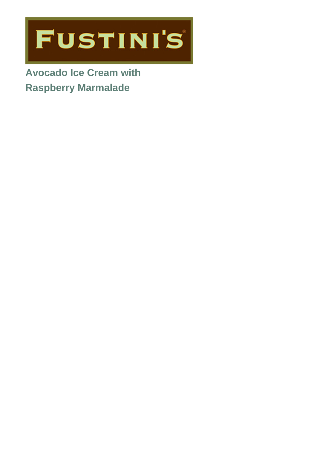

**Avocado Ice Cream with Raspberry Marmalade**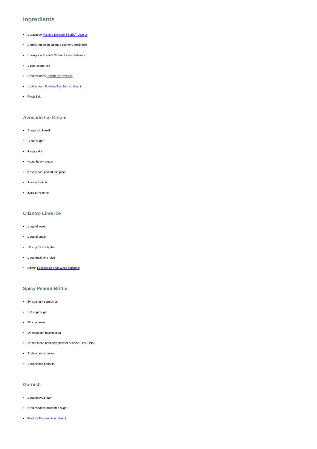### **Ingredients**

- 1 teaspoon [Fustini's Delicate SELECT olive oil](https://www.fustinis.com/order/category/oils/extra-virgin-olive-oils/delicate_8/)
- 1 small red onion, about 1 cup very small dice
- 1 teaspoon [Fustini's Sicilian Lemon balsamic](https://www.fustinis.com/vinegars/balsamic-vinegars/sicilian-lemon/)
- 1-pint raspberries
- 2 tablespoons [Raspberry Preserve](https://www.fustinis.com/order/raspberry-preserves_1929/)
- 1 tablespoon **[Fustini's Raspberry](https://www.fustinis.com/vinegars/balsamic-vinegars/raspberry/) balsamic**
- Pinch Salt

#### **Avocado Ice Cream**

- 2 cups whole milk
- ¾ cup sugar
- 4 egg yolks
- ½ cup heavy cream
- 3 avocados, peeled and pitted
- Juice of ½ lime
- Juice of ½ lemon

### **Cilantro Lime Ice**

- 1 cup of water
- 1 cup of sugar
- 1/4 cup fresh cilantro
- 1 cup fresh lime juice
- Splash **[Fustini's 12 Year White balsamic](https://www.fustinis.com/vinegars/balsamic-vinegars/12-year-premium-white/)**

### **Spicy Peanut Brittle**

- 3/4 cup light corn syrup
- 1 ½ cups sugar
- 3/4 cup water
- 1/4 teaspoon baking soda
- 1/8 teaspoon habanero powder or spice, OPTIONAL
- 2 tablespoons butter
- 1 cup salted peanuts

#### **Garnish**

- 1 cup heavy cream
- 2 tablespoons powdered sugar
- [Fustini's Persian Lime olive oil](https://www.fustinis.com/oils/infused-extra-virgin-olive-oils/persian-lime/)